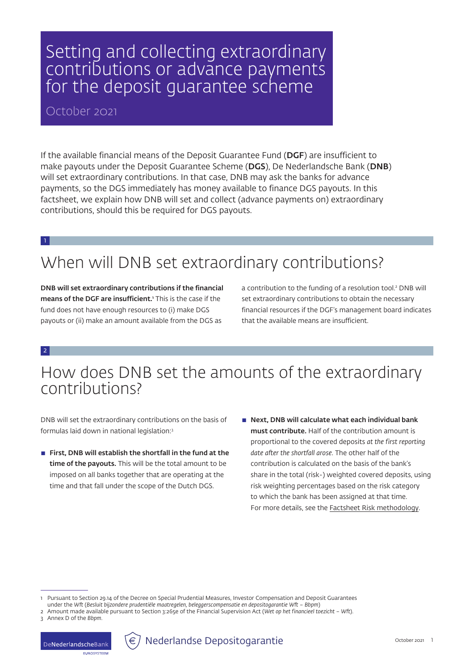## Setting and collecting extraordinary contributions or advance payments for the deposit guarantee scheme

#### October 2021

If the available financial means of the Deposit Guarantee Fund (DGF) are insufficient to make payouts under the Deposit Guarantee Scheme (DGS), De Nederlandsche Bank (DNB) will set extraordinary contributions. In that case, DNB may ask the banks for advance payments, so the DGS immediately has money available to finance DGS payouts. In this factsheet, we explain how DNB will set and collect (advance payments on) extraordinary contributions, should this be required for DGS payouts.

1

# When will DNB set extraordinary contributions?

DNB will set extraordinary contributions if the financial **means of the DGF are insufficient.** This is the case if the fund does not have enough resources to (i) make DGS payouts or (ii) make an amount available from the DGS as

a contribution to the funding of a resolution tool.2 DNB will set extraordinary contributions to obtain the necessary financial resources if the DGF's management board indicates that the available means are insufficient.

2

### How does DNB set the amounts of the extraordinary contributions?

DNB will set the extraordinary contributions on the basis of formulas laid down in national legislation:3

- $\blacksquare$  First, DNB will establish the shortfall in the fund at the time of the payouts. This will be the total amount to be imposed on all banks together that are operating at the time and that fall under the scope of the Dutch DGS.
- $\blacksquare$  Next, DNB will calculate what each individual bank must contribute. Half of the contribution amount is proportional to the covered deposits *at the first reporting date after the shortfall arose*. The other half of the contribution is calculated on the basis of the bank's share in the total (risk-) weighted covered deposits, using risk weighting percentages based on the risk category to which the bank has been assigned at that time. For more details, see the [Factsheet Risk methodology.](https://www.dnb.nl/en/sector-information/deposit-guarantee-scheme/deposit-guarantee-scheme/deposit-guarantee-fund-levies/)



Pursuant to Section 29.14 of the Decree on Special Prudential Measures, Investor Compensation and Deposit Guarantees under the *Wft* (*Besluit bijzondere prudentiële maatregelen, beleggerscompensatie en depositogarantie Wft – Bbpm*) 2 Amount made available pursuant to Section 3:265e of the Financial Supervision Act (*Wet op het financieel toezicht – Wft*).

<sup>3</sup> Annex D of the *Bbpm*.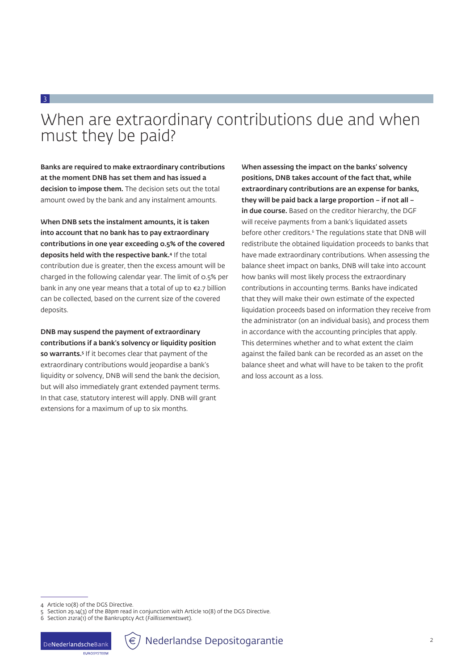## When are extraordinary contributions due and when must they be paid?

Banks are required to make extraordinary contributions at the moment DNB has set them and has issued a decision to impose them. The decision sets out the total amount owed by the bank and any instalment amounts.

3

When DNB sets the instalment amounts, it is taken into account that no bank has to pay extraordinary contributions in one year exceeding 0.5% of the covered deposits held with the respective bank.4 If the total contribution due is greater, then the excess amount will be charged in the following calendar year. The limit of 0.5% per bank in any one year means that a total of up to €2.7 billion can be collected, based on the current size of the covered deposits.

DNB may suspend the payment of extraordinary contributions if a bank's solvency or liquidity position so warrants.<sup>5</sup> If it becomes clear that payment of the extraordinary contributions would jeopardise a bank's liquidity or solvency, DNB will send the bank the decision, but will also immediately grant extended payment terms. In that case, statutory interest will apply. DNB will grant extensions for a maximum of up to six months.

When assessing the impact on the banks' solvency positions, DNB takes account of the fact that, while extraordinary contributions are an expense for banks, they will be paid back a large proportion – if not all – in due course. Based on the creditor hierarchy, the DGF will receive payments from a bank's liquidated assets before other creditors.6 The regulations state that DNB will redistribute the obtained liquidation proceeds to banks that have made extraordinary contributions. When assessing the balance sheet impact on banks, DNB will take into account how banks will most likely process the extraordinary contributions in accounting terms. Banks have indicated that they will make their own estimate of the expected liquidation proceeds based on information they receive from the administrator (on an individual basis), and process them in accordance with the accounting principles that apply. This determines whether and to what extent the claim against the failed bank can be recorded as an asset on the balance sheet and what will have to be taken to the profit and loss account as a loss.

**ELIDOSVETEEM** 



<sup>4</sup> Article 10(8) of the DGS Directive.

<sup>5</sup> Section 29.14(3) of the *Bbpm* read in conjunction with Article 10(8) of the DGS Directive.

<sup>6</sup> Section 212ra(1) of the Bankruptcy Act (*Faillissementswet*).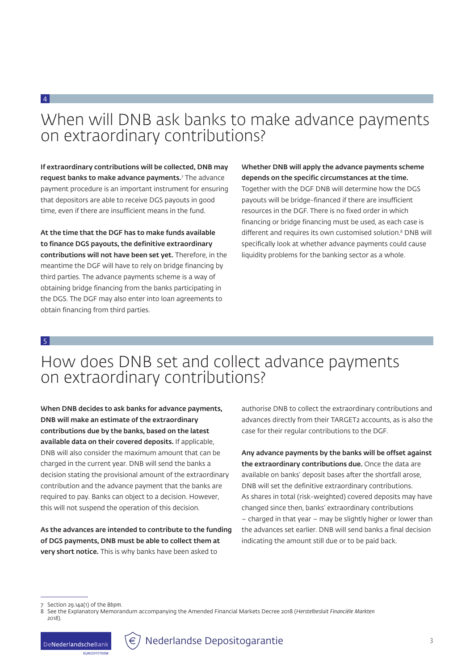#### When will DNB ask banks to make advance payments on extraordinary contributions?

If extraordinary contributions will be collected, DNB may request banks to make advance payments.<sup>7</sup> The advance payment procedure is an important instrument for ensuring that depositors are able to receive DGS payouts in good time, even if there are insufficient means in the fund.

At the time that the DGF has to make funds available to finance DGS payouts, the definitive extraordinary contributions will not have been set yet. Therefore, in the meantime the DGF will have to rely on bridge financing by third parties. The advance payments scheme is a way of obtaining bridge financing from the banks participating in the DGS. The DGF may also enter into loan agreements to obtain financing from third parties.

Whether DNB will apply the advance payments scheme depends on the specific circumstances at the time. Together with the DGF DNB will determine how the DGS payouts will be bridge-financed if there are insufficient resources in the DGF. There is no fixed order in which financing or bridge financing must be used, as each case is different and requires its own customised solution.8 DNB will specifically look at whether advance payments could cause liquidity problems for the banking sector as a whole.

#### 5

4

#### How does DNB set and collect advance payments on extraordinary contributions?

When DNB decides to ask banks for advance payments, DNB will make an estimate of the extraordinary contributions due by the banks, based on the latest available data on their covered deposits. If applicable, DNB will also consider the maximum amount that can be charged in the current year. DNB will send the banks a decision stating the provisional amount of the extraordinary contribution and the advance payment that the banks are required to pay. Banks can object to a decision. However, this will not suspend the operation of this decision.

As the advances are intended to contribute to the funding of DGS payments, DNB must be able to collect them at very short notice. This is why banks have been asked to

authorise DNB to collect the extraordinary contributions and advances directly from their TARGET2 accounts, as is also the case for their regular contributions to the DGF.

Any advance payments by the banks will be offset against the extraordinary contributions due. Once the data are available on banks' deposit bases after the shortfall arose, DNB will set the definitive extraordinary contributions. As shares in total (risk-weighted) covered deposits may have changed since then, banks' extraordinary contributions – charged in that year – may be slightly higher or lower than the advances set earlier. DNB will send banks a final decision indicating the amount still due or to be paid back.



<sup>7</sup> Section 29.14a(1) of the *Bbpm*.

<sup>8</sup> See the Explanatory Memorandum accompanying the Amended Financial Markets Decree 2018 (*Herstelbesluit Financiële Markten 2018*).